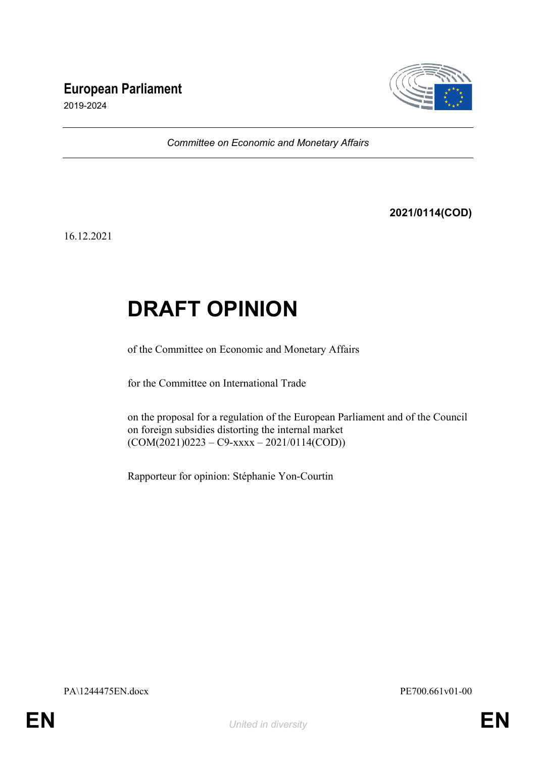# **European Parliament**



2019-2024

*Committee on Economic and Monetary Affairs*

**2021/0114(COD)**

16.12.2021

# **DRAFT OPINION**

of the Committee on Economic and Monetary Affairs

for the Committee on International Trade

on the proposal for a regulation of the European Parliament and of the Council on foreign subsidies distorting the internal market  $(COM(2021)0223 - C9-xxxx - 2021/0114(COD))$ 

Rapporteur for opinion: Stéphanie Yon-Courtin

PA\1244475EN.docx PE700.661v01-00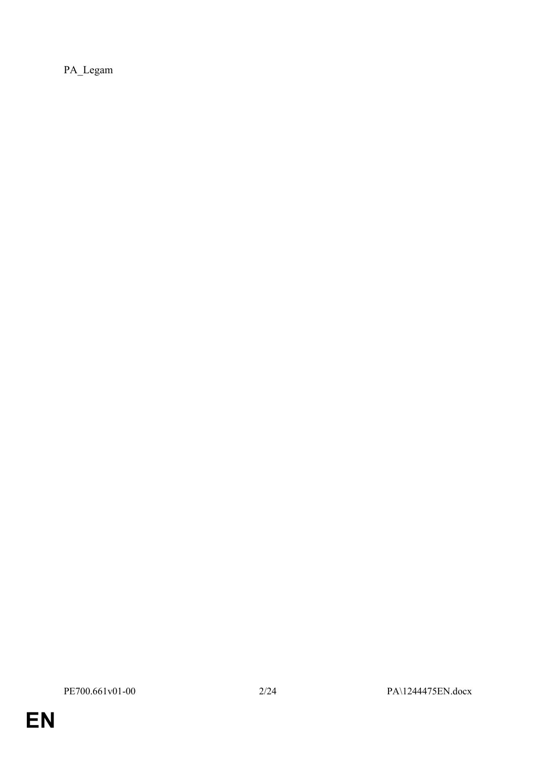PA\_Legam

**EN**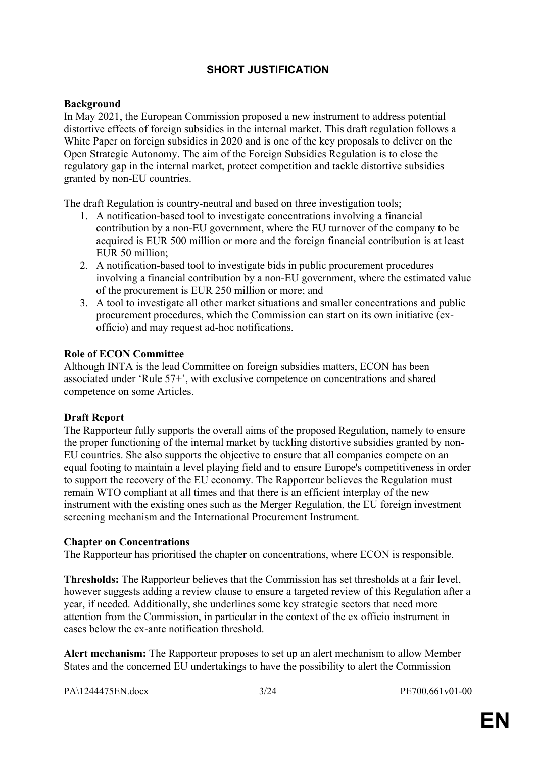# **SHORT JUSTIFICATION**

# **Background**

In May 2021, the European Commission proposed a new instrument to address potential distortive effects of foreign subsidies in the internal market. This draft regulation follows a White Paper on foreign subsidies in 2020 and is one of the key proposals to deliver on the Open Strategic Autonomy. The aim of the Foreign Subsidies Regulation is to close the regulatory gap in the internal market, protect competition and tackle distortive subsidies granted by non-EU countries.

The draft Regulation is country-neutral and based on three investigation tools;

- 1. A notification-based tool to investigate concentrations involving a financial contribution by a non-EU government, where the EU turnover of the company to be acquired is EUR 500 million or more and the foreign financial contribution is at least EUR 50 million<sup>-</sup>
- 2. A notification-based tool to investigate bids in public procurement procedures involving a financial contribution by a non-EU government, where the estimated value of the procurement is EUR 250 million or more; and
- 3. A tool to investigate all other market situations and smaller concentrations and public procurement procedures, which the Commission can start on its own initiative (exofficio) and may request ad-hoc notifications.

# **Role of ECON Committee**

Although INTA is the lead Committee on foreign subsidies matters, ECON has been associated under 'Rule 57+', with exclusive competence on concentrations and shared competence on some Articles.

# **Draft Report**

The Rapporteur fully supports the overall aims of the proposed Regulation, namely to ensure the proper functioning of the internal market by tackling distortive subsidies granted by non-EU countries. She also supports the objective to ensure that all companies compete on an equal footing to maintain a level playing field and to ensure Europe's competitiveness in order to support the recovery of the EU economy. The Rapporteur believes the Regulation must remain WTO compliant at all times and that there is an efficient interplay of the new instrument with the existing ones such as the Merger Regulation, the EU foreign investment screening mechanism and the International Procurement Instrument.

### **Chapter on Concentrations**

The Rapporteur has prioritised the chapter on concentrations, where ECON is responsible.

**Thresholds:** The Rapporteur believes that the Commission has set thresholds at a fair level, however suggests adding a review clause to ensure a targeted review of this Regulation after a year, if needed. Additionally, she underlines some key strategic sectors that need more attention from the Commission, in particular in the context of the ex officio instrument in cases below the ex-ante notification threshold.

**Alert mechanism:** The Rapporteur proposes to set up an alert mechanism to allow Member States and the concerned EU undertakings to have the possibility to alert the Commission

PA\1244475EN.docx 3/24 PE700.661v01-00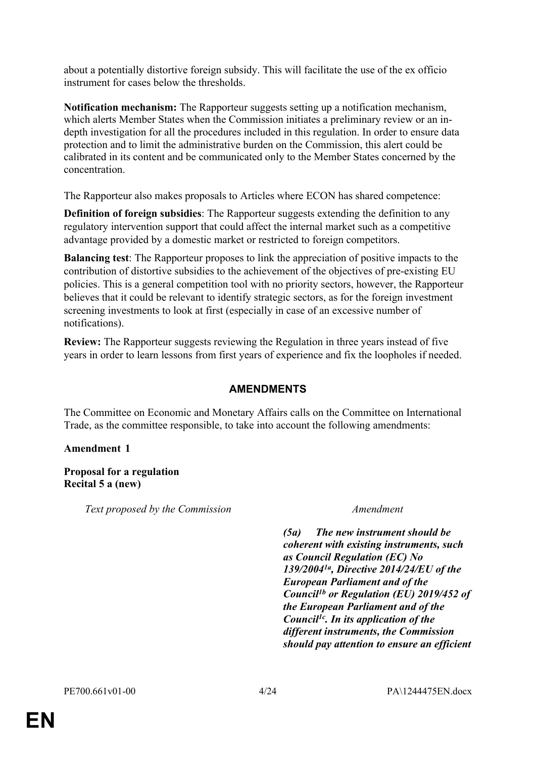about a potentially distortive foreign subsidy. This will facilitate the use of the ex officio instrument for cases below the thresholds.

**Notification mechanism:** The Rapporteur suggests setting up a notification mechanism, which alerts Member States when the Commission initiates a preliminary review or an indepth investigation for all the procedures included in this regulation. In order to ensure data protection and to limit the administrative burden on the Commission, this alert could be calibrated in its content and be communicated only to the Member States concerned by the concentration.

The Rapporteur also makes proposals to Articles where ECON has shared competence:

**Definition of foreign subsidies**: The Rapporteur suggests extending the definition to any regulatory intervention support that could affect the internal market such as a competitive advantage provided by a domestic market or restricted to foreign competitors.

**Balancing test**: The Rapporteur proposes to link the appreciation of positive impacts to the contribution of distortive subsidies to the achievement of the objectives of pre-existing EU policies. This is a general competition tool with no priority sectors, however, the Rapporteur believes that it could be relevant to identify strategic sectors, as for the foreign investment screening investments to look at first (especially in case of an excessive number of notifications).

**Review:** The Rapporteur suggests reviewing the Regulation in three years instead of five years in order to learn lessons from first years of experience and fix the loopholes if needed.

# **AMENDMENTS**

The Committee on Economic and Monetary Affairs calls on the Committee on International Trade, as the committee responsible, to take into account the following amendments:

# **Amendment 1**

**Proposal for a regulation Recital 5 a (new)**

*Text proposed by the Commission Amendment*

*(5a) The new instrument should be coherent with existing instruments, such as Council Regulation (EC) No 139/20041a, Directive 2014/24/EU of the European Parliament and of the Council1b or Regulation (EU) 2019/452 of the European Parliament and of the Council1c. In its application of the different instruments, the Commission should pay attention to ensure an efficient*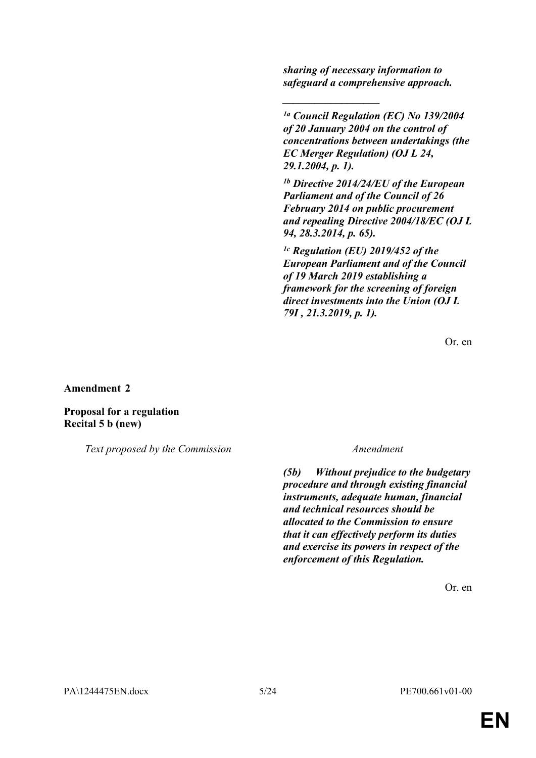*sharing of necessary information to safeguard a comprehensive approach.*

*\_\_\_\_\_\_\_\_\_\_\_\_\_\_\_\_\_\_*

*1a Council Regulation (EC) No 139/2004 of 20 January 2004 on the control of concentrations between undertakings (the EC Merger Regulation) (OJ L 24, 29.1.2004, p. 1).*

*1b Directive 2014/24/EU of the European Parliament and of the Council of 26 February 2014 on public procurement and repealing Directive 2004/18/EC (OJ L 94, 28.3.2014, p. 65).*

*1c Regulation (EU) 2019/452 of the European Parliament and of the Council of 19 March 2019 establishing a framework for the screening of foreign direct investments into the Union (OJ L 79I , 21.3.2019, p. 1).*

Or. en

**Amendment 2**

**Proposal for a regulation Recital 5 b (new)**

*Text proposed by the Commission Amendment*

*(5b) Without prejudice to the budgetary procedure and through existing financial instruments, adequate human, financial and technical resources should be allocated to the Commission to ensure that it can effectively perform its duties and exercise its powers in respect of the enforcement of this Regulation.*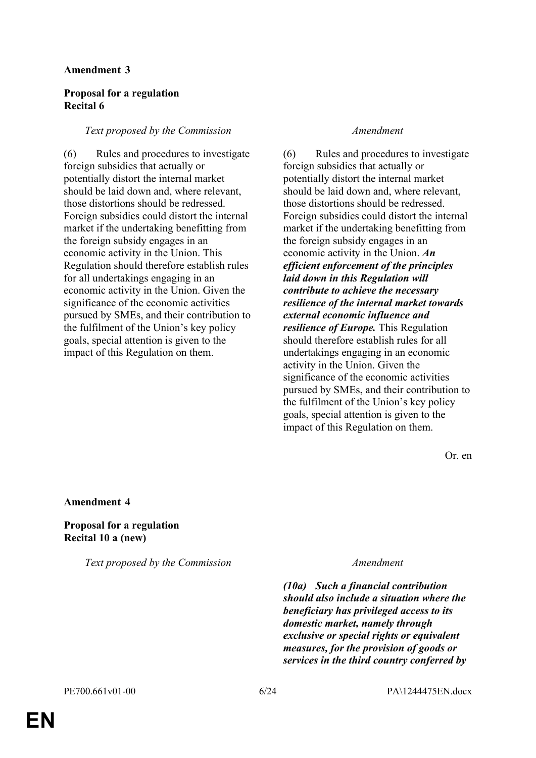### **Amendment 3**

# **Proposal for a regulation Recital 6**

### *Text proposed by the Commission Amendment*

(6) Rules and procedures to investigate foreign subsidies that actually or potentially distort the internal market should be laid down and, where relevant, those distortions should be redressed. Foreign subsidies could distort the internal market if the undertaking benefitting from the foreign subsidy engages in an economic activity in the Union. This Regulation should therefore establish rules for all undertakings engaging in an economic activity in the Union. Given the significance of the economic activities pursued by SMEs, and their contribution to the fulfilment of the Union's key policy goals, special attention is given to the impact of this Regulation on them.

(6) Rules and procedures to investigate foreign subsidies that actually or potentially distort the internal market should be laid down and, where relevant, those distortions should be redressed. Foreign subsidies could distort the internal market if the undertaking benefitting from the foreign subsidy engages in an economic activity in the Union. *An efficient enforcement of the principles laid down in this Regulation will contribute to achieve the necessary resilience of the internal market towards external economic influence and resilience of Europe.* This Regulation should therefore establish rules for all undertakings engaging in an economic activity in the Union. Given the significance of the economic activities pursued by SMEs, and their contribution to the fulfilment of the Union's key policy goals, special attention is given to the impact of this Regulation on them.

Or. en

**Amendment 4**

**Proposal for a regulation Recital 10 a (new)**

*Text proposed by the Commission Amendment*

*(10a) Such a financial contribution should also include a situation where the beneficiary has privileged access to its domestic market, namely through exclusive or special rights or equivalent measures, for the provision of goods or services in the third country conferred by*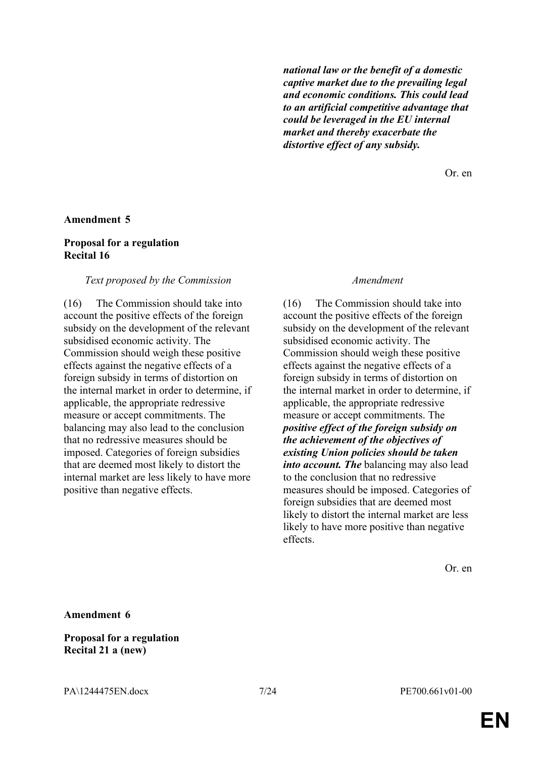*national law or the benefit of a domestic captive market due to the prevailing legal and economic conditions. This could lead to an artificial competitive advantage that could be leveraged in the EU internal market and thereby exacerbate the distortive effect of any subsidy.*

Or. en

#### **Amendment 5**

#### **Proposal for a regulation Recital 16**

#### *Text proposed by the Commission Amendment*

(16) The Commission should take into account the positive effects of the foreign subsidy on the development of the relevant subsidised economic activity. The Commission should weigh these positive effects against the negative effects of a foreign subsidy in terms of distortion on the internal market in order to determine, if applicable, the appropriate redressive measure or accept commitments. The balancing may also lead to the conclusion that no redressive measures should be imposed. Categories of foreign subsidies that are deemed most likely to distort the internal market are less likely to have more positive than negative effects.

(16) The Commission should take into account the positive effects of the foreign subsidy on the development of the relevant subsidised economic activity. The Commission should weigh these positive effects against the negative effects of a foreign subsidy in terms of distortion on the internal market in order to determine, if applicable, the appropriate redressive measure or accept commitments. The *positive effect of the foreign subsidy on the achievement of the objectives of existing Union policies should be taken into account. The* balancing may also lead to the conclusion that no redressive measures should be imposed. Categories of foreign subsidies that are deemed most likely to distort the internal market are less likely to have more positive than negative effects.

Or. en

**Amendment 6**

**Proposal for a regulation Recital 21 a (new)**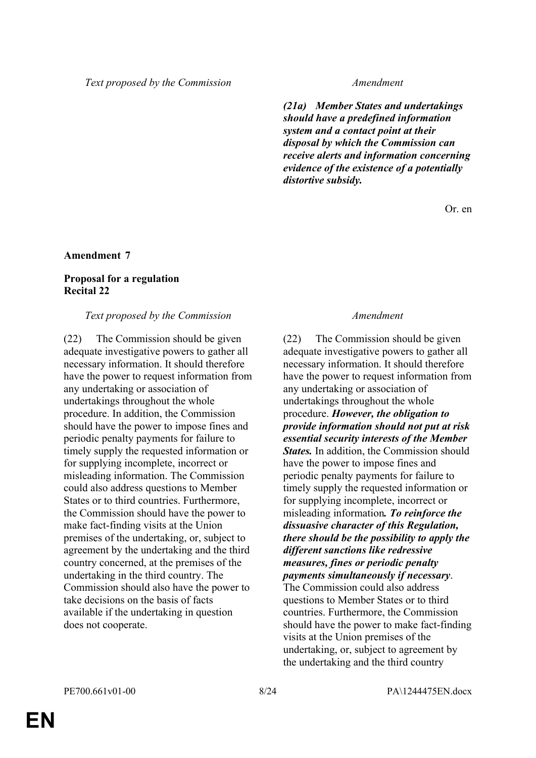*(21a) Member States and undertakings should have a predefined information system and a contact point at their disposal by which the Commission can receive alerts and information concerning evidence of the existence of a potentially distortive subsidy.*

Or. en

# **Amendment 7**

# **Proposal for a regulation Recital 22**

### *Text proposed by the Commission Amendment*

(22) The Commission should be given adequate investigative powers to gather all necessary information. It should therefore have the power to request information from any undertaking or association of undertakings throughout the whole procedure. In addition, the Commission should have the power to impose fines and periodic penalty payments for failure to timely supply the requested information or for supplying incomplete, incorrect or misleading information. The Commission could also address questions to Member States or to third countries. Furthermore, the Commission should have the power to make fact-finding visits at the Union premises of the undertaking, or, subject to agreement by the undertaking and the third country concerned, at the premises of the undertaking in the third country. The Commission should also have the power to take decisions on the basis of facts available if the undertaking in question does not cooperate.

(22) The Commission should be given adequate investigative powers to gather all necessary information. It should therefore have the power to request information from any undertaking or association of undertakings throughout the whole procedure. *However, the obligation to provide information should not put at risk essential security interests of the Member States.* In addition, the Commission should have the power to impose fines and periodic penalty payments for failure to timely supply the requested information or for supplying incomplete, incorrect or misleading information*. To reinforce the dissuasive character of this Regulation, there should be the possibility to apply the different sanctions like redressive measures, fines or periodic penalty payments simultaneously if necessary*.

The Commission could also address questions to Member States or to third countries. Furthermore, the Commission should have the power to make fact-finding visits at the Union premises of the undertaking, or, subject to agreement by the undertaking and the third country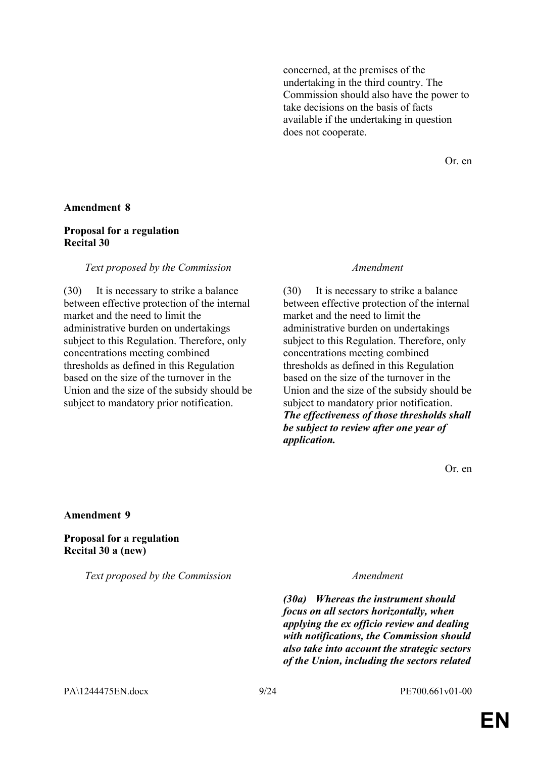concerned, at the premises of the undertaking in the third country. The Commission should also have the power to take decisions on the basis of facts available if the undertaking in question does not cooperate.

Or. en

#### **Amendment 8**

### **Proposal for a regulation Recital 30**

#### *Text proposed by the Commission Amendment*

(30) It is necessary to strike a balance between effective protection of the internal market and the need to limit the administrative burden on undertakings subject to this Regulation. Therefore, only concentrations meeting combined thresholds as defined in this Regulation based on the size of the turnover in the Union and the size of the subsidy should be subject to mandatory prior notification.

(30) It is necessary to strike a balance between effective protection of the internal market and the need to limit the administrative burden on undertakings subject to this Regulation. Therefore, only concentrations meeting combined thresholds as defined in this Regulation based on the size of the turnover in the Union and the size of the subsidy should be subject to mandatory prior notification. *The effectiveness of those thresholds shall be subject to review after one year of application.*

Or. en

**Amendment 9**

**Proposal for a regulation Recital 30 a (new)**

*Text proposed by the Commission Amendment*

*(30a) Whereas the instrument should focus on all sectors horizontally, when applying the ex officio review and dealing with notifications, the Commission should also take into account the strategic sectors of the Union, including the sectors related* 

PA\1244475EN.docx 9/24 PE700.661v01-00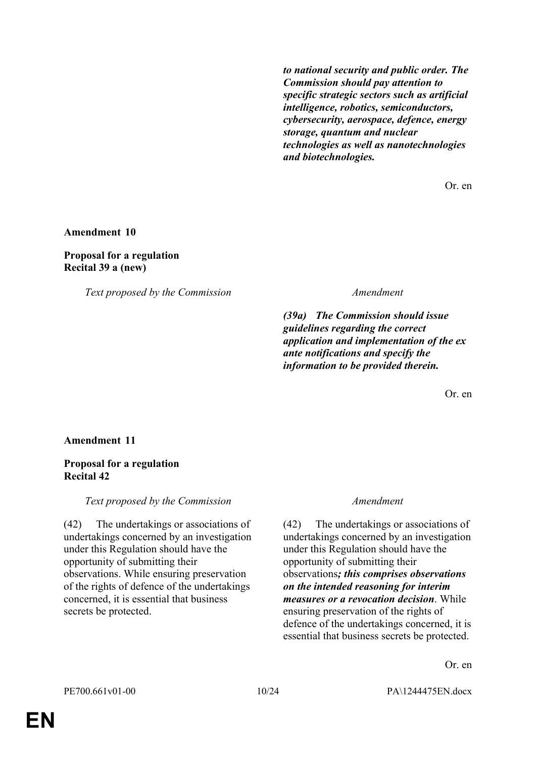*to national security and public order. The Commission should pay attention to specific strategic sectors such as artificial intelligence, robotics, semiconductors, cybersecurity, aerospace, defence, energy storage, quantum and nuclear technologies as well as nanotechnologies and biotechnologies.*

Or. en

**Amendment 10**

#### **Proposal for a regulation Recital 39 a (new)**

*Text proposed by the Commission Amendment*

*(39a) The Commission should issue guidelines regarding the correct application and implementation of the ex ante notifications and specify the information to be provided therein.*

Or. en

**Amendment 11**

# **Proposal for a regulation Recital 42**

*Text proposed by the Commission Amendment*

(42) The undertakings or associations of undertakings concerned by an investigation under this Regulation should have the opportunity of submitting their observations. While ensuring preservation of the rights of defence of the undertakings concerned, it is essential that business secrets be protected.

(42) The undertakings or associations of undertakings concerned by an investigation under this Regulation should have the opportunity of submitting their observations*; this comprises observations on the intended reasoning for interim measures or a revocation decision*. While ensuring preservation of the rights of defence of the undertakings concerned, it is essential that business secrets be protected.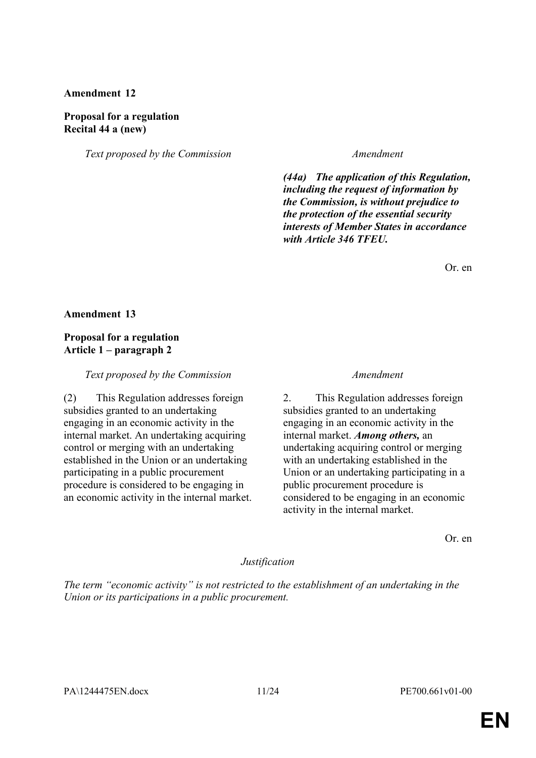### **Amendment 12**

#### **Proposal for a regulation Recital 44 a (new)**

*Text proposed by the Commission Amendment*

*(44a) The application of this Regulation, including the request of information by the Commission, is without prejudice to the protection of the essential security interests of Member States in accordance with Article 346 TFEU.*

Or. en

#### **Amendment 13**

### **Proposal for a regulation Article 1 – paragraph 2**

*Text proposed by the Commission Amendment*

(2) This Regulation addresses foreign subsidies granted to an undertaking engaging in an economic activity in the internal market. An undertaking acquiring control or merging with an undertaking established in the Union or an undertaking participating in a public procurement procedure is considered to be engaging in an economic activity in the internal market.

2. This Regulation addresses foreign subsidies granted to an undertaking engaging in an economic activity in the internal market. *Among others,* an undertaking acquiring control or merging with an undertaking established in the Union or an undertaking participating in a public procurement procedure is considered to be engaging in an economic activity in the internal market.

Or. en

#### *Justification*

*The term "economic activity" is not restricted to the establishment of an undertaking in the Union or its participations in a public procurement.*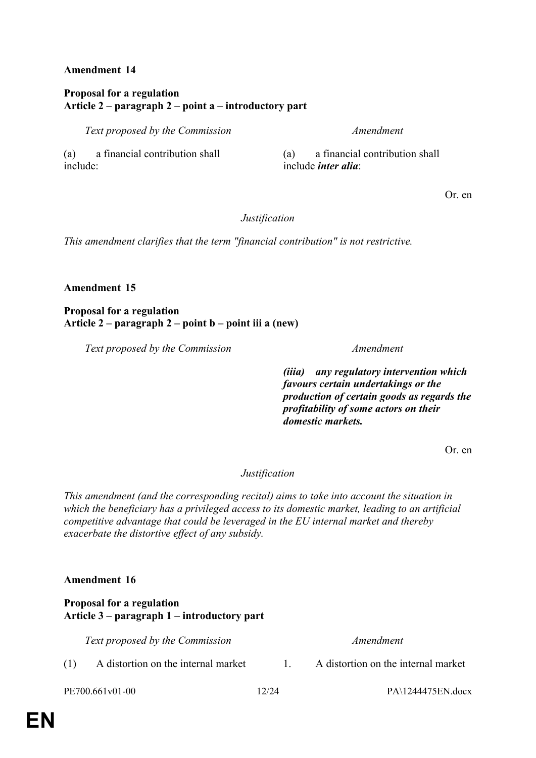# **Amendment 14**

# **Proposal for a regulation Article 2 – paragraph 2 – point a – introductory part**

*Text proposed by the Commission Amendment*

(a) a financial contribution shall include:

(a) a financial contribution shall include *inter alia*:

Or. en

# *Justification*

*This amendment clarifies that the term "financial contribution" is not restrictive.*

# **Amendment 15**

# **Proposal for a regulation Article 2 – paragraph 2 – point b – point iii a (new)**

*Text proposed by the Commission Amendment*

*(iiia) any regulatory intervention which favours certain undertakings or the production of certain goods as regards the profitability of some actors on their domestic markets.*

Or. en

# *Justification*

*This amendment (and the corresponding recital) aims to take into account the situation in which the beneficiary has a privileged access to its domestic market, leading to an artificial competitive advantage that could be leveraged in the EU internal market and thereby exacerbate the distortive effect of any subsidy.*

# **Amendment 16**

# **Proposal for a regulation Article 3 – paragraph 1 – introductory part**

*Text proposed by the Commission Amendment*

- (1) A distortion on the internal market 1. A distortion on the internal market
	-

**EN**

PE700.661v01-00 12/24 PA\1244475EN.docx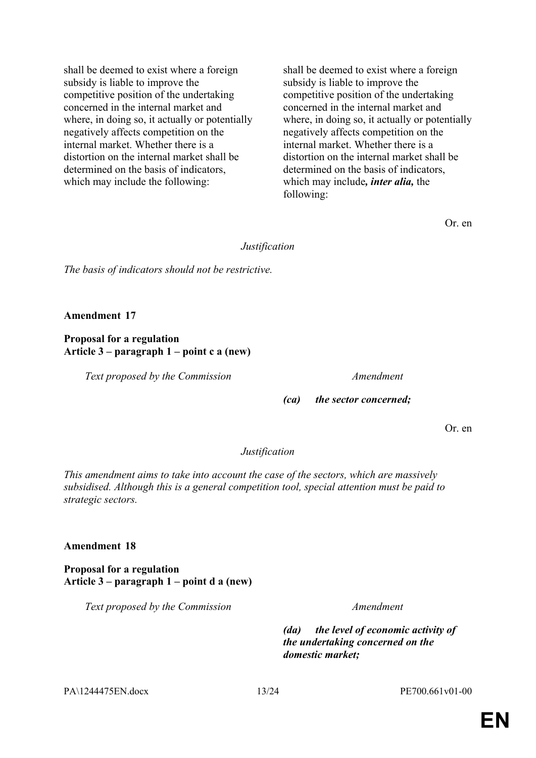shall be deemed to exist where a foreign subsidy is liable to improve the competitive position of the undertaking concerned in the internal market and where, in doing so, it actually or potentially negatively affects competition on the internal market. Whether there is a distortion on the internal market shall be determined on the basis of indicators, which may include the following:

shall be deemed to exist where a foreign subsidy is liable to improve the competitive position of the undertaking concerned in the internal market and where, in doing so, it actually or potentially negatively affects competition on the internal market. Whether there is a distortion on the internal market shall be determined on the basis of indicators, which may include*, inter alia,* the following:

Or. en

*Justification*

*The basis of indicators should not be restrictive.*

**Amendment 17**

**Proposal for a regulation Article 3 – paragraph 1 – point c a (new)**

*Text proposed by the Commission Amendment*

*(ca) the sector concerned;*

Or. en

# *Justification*

*This amendment aims to take into account the case of the sectors, which are massively subsidised. Although this is a general competition tool, special attention must be paid to strategic sectors.*

# **Amendment 18**

**Proposal for a regulation Article 3 – paragraph 1 – point d a (new)**

*Text proposed by the Commission Amendment*

*(da) the level of economic activity of the undertaking concerned on the domestic market;*

PA\1244475EN.docx 13/24 PE700.661v01-00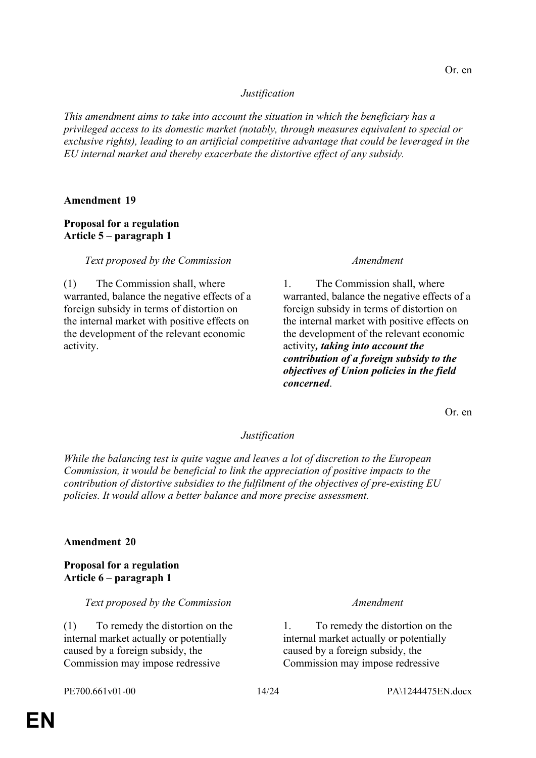*This amendment aims to take into account the situation in which the beneficiary has a privileged access to its domestic market (notably, through measures equivalent to special or exclusive rights), leading to an artificial competitive advantage that could be leveraged in the EU internal market and thereby exacerbate the distortive effect of any subsidy.*

### **Amendment 19**

# **Proposal for a regulation Article 5 – paragraph 1**

### *Text proposed by the Commission Amendment*

(1) The Commission shall, where warranted, balance the negative effects of a foreign subsidy in terms of distortion on the internal market with positive effects on the development of the relevant economic activity.

1. The Commission shall, where warranted, balance the negative effects of a foreign subsidy in terms of distortion on the internal market with positive effects on the development of the relevant economic activity*, taking into account the contribution of a foreign subsidy to the objectives of Union policies in the field concerned*.

Or. en

### *Justification*

*While the balancing test is quite vague and leaves a lot of discretion to the European Commission, it would be beneficial to link the appreciation of positive impacts to the contribution of distortive subsidies to the fulfilment of the objectives of pre-existing EU policies. It would allow a better balance and more precise assessment.*

### **Amendment 20**

# **Proposal for a regulation Article 6 – paragraph 1**

*Text proposed by the Commission Amendment*

(1) To remedy the distortion on the internal market actually or potentially caused by a foreign subsidy, the Commission may impose redressive

1. To remedy the distortion on the internal market actually or potentially caused by a foreign subsidy, the Commission may impose redressive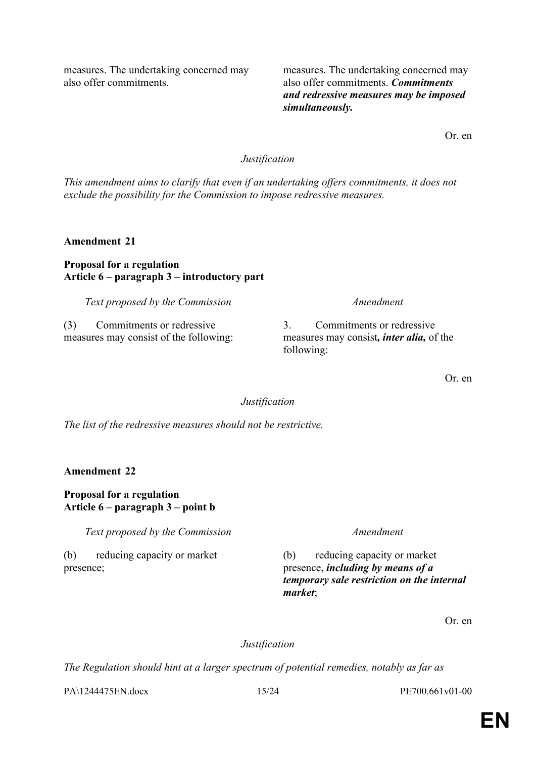measures. The undertaking concerned may also offer commitments.

measures. The undertaking concerned may also offer commitments. *Commitments and redressive measures may be imposed simultaneously.*

Or. en

# *Justification*

*This amendment aims to clarify that even if an undertaking offers commitments, it does not exclude the possibility for the Commission to impose redressive measures.*

**Amendment 21**

### **Proposal for a regulation Article 6 – paragraph 3 – introductory part**

*Text proposed by the Commission Amendment*

(3) Commitments or redressive measures may consist of the following:

3. Commitments or redressive measures may consist*, inter alia,* of the following:

Or. en

# *Justification*

*The list of the redressive measures should not be restrictive.*

**Amendment 22**

# **Proposal for a regulation Article 6 – paragraph 3 – point b**

*Text proposed by the Commission Amendment*

(b) reducing capacity or market presence;

(b) reducing capacity or market presence, *including by means of a temporary sale restriction on the internal market*;

Or. en

# *Justification*

*The Regulation should hint at a larger spectrum of potential remedies, notably as far as* 

PA\1244475EN.docx 15/24 PE700.661v01-00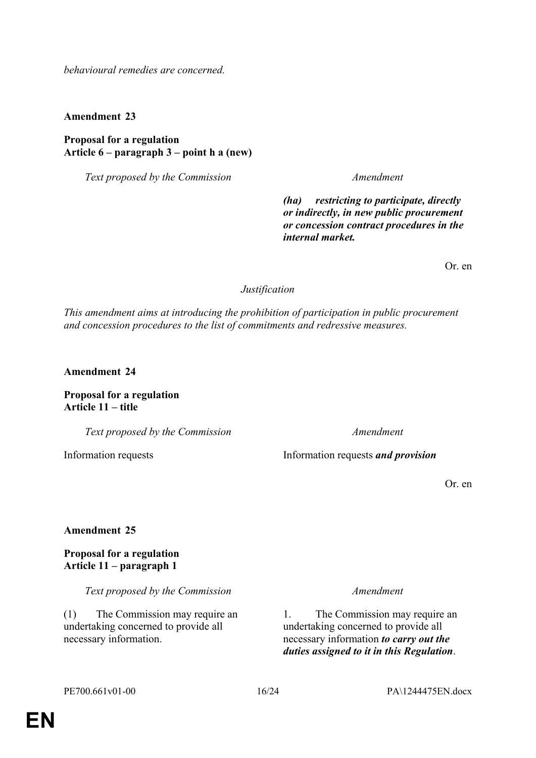*behavioural remedies are concerned.*

**Amendment 23**

**Proposal for a regulation Article 6 – paragraph 3 – point h a (new)**

*Text proposed by the Commission Amendment*

*(ha) restricting to participate, directly or indirectly, in new public procurement or concession contract procedures in the internal market.*

Or. en

*Justification*

*This amendment aims at introducing the prohibition of participation in public procurement and concession procedures to the list of commitments and redressive measures.*

**Amendment 24**

**Proposal for a regulation Article 11 – title**

*Text proposed by the Commission Amendment*

Information requests Information requests *and provision*

Or. en

### **Amendment 25**

**Proposal for a regulation Article 11 – paragraph 1**

*Text proposed by the Commission Amendment*

(1) The Commission may require an undertaking concerned to provide all necessary information.

1. The Commission may require an undertaking concerned to provide all necessary information *to carry out the duties assigned to it in this Regulation*.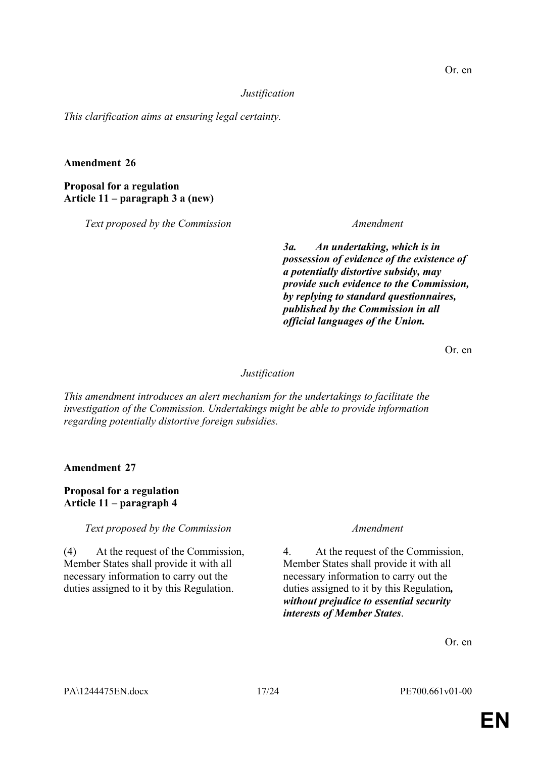*This clarification aims at ensuring legal certainty.*

# **Amendment 26**

# **Proposal for a regulation Article 11 – paragraph 3 a (new)**

*Text proposed by the Commission Amendment*

*3a. An undertaking, which is in possession of evidence of the existence of a potentially distortive subsidy, may provide such evidence to the Commission, by replying to standard questionnaires, published by the Commission in all official languages of the Union.*

Or. en

# *Justification*

*This amendment introduces an alert mechanism for the undertakings to facilitate the investigation of the Commission. Undertakings might be able to provide information regarding potentially distortive foreign subsidies.*

**Amendment 27**

# **Proposal for a regulation Article 11 – paragraph 4**

# *Text proposed by the Commission Amendment*

(4) At the request of the Commission, Member States shall provide it with all necessary information to carry out the duties assigned to it by this Regulation.

4. At the request of the Commission, Member States shall provide it with all necessary information to carry out the duties assigned to it by this Regulation*, without prejudice to essential security interests of Member States*.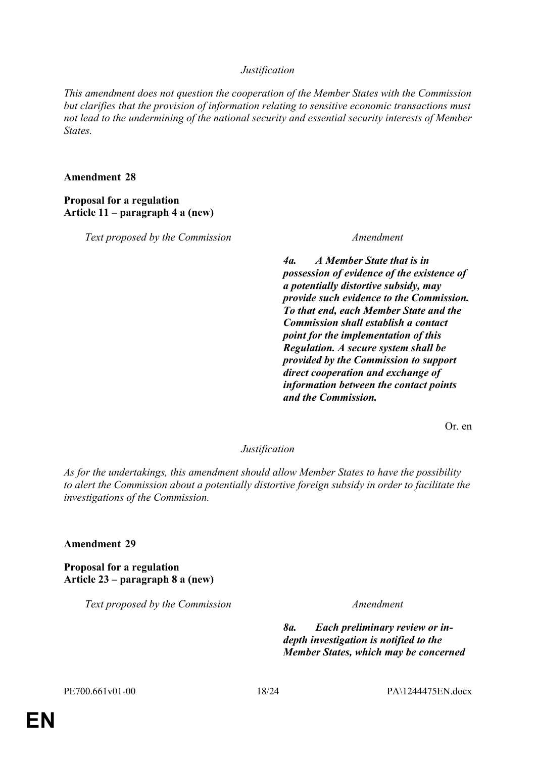*This amendment does not question the cooperation of the Member States with the Commission but clarifies that the provision of information relating to sensitive economic transactions must not lead to the undermining of the national security and essential security interests of Member States.*

#### **Amendment 28**

### **Proposal for a regulation Article 11 – paragraph 4 a (new)**

*Text proposed by the Commission Amendment*

*4a. A Member State that is in possession of evidence of the existence of a potentially distortive subsidy, may provide such evidence to the Commission. To that end, each Member State and the Commission shall establish a contact point for the implementation of this Regulation. A secure system shall be provided by the Commission to support direct cooperation and exchange of information between the contact points and the Commission.*

Or. en

# *Justification*

*As for the undertakings, this amendment should allow Member States to have the possibility to alert the Commission about a potentially distortive foreign subsidy in order to facilitate the investigations of the Commission.*

### **Amendment 29**

**Proposal for a regulation Article 23 – paragraph 8 a (new)**

*Text proposed by the Commission Amendment*

*8a. Each preliminary review or indepth investigation is notified to the Member States, which may be concerned*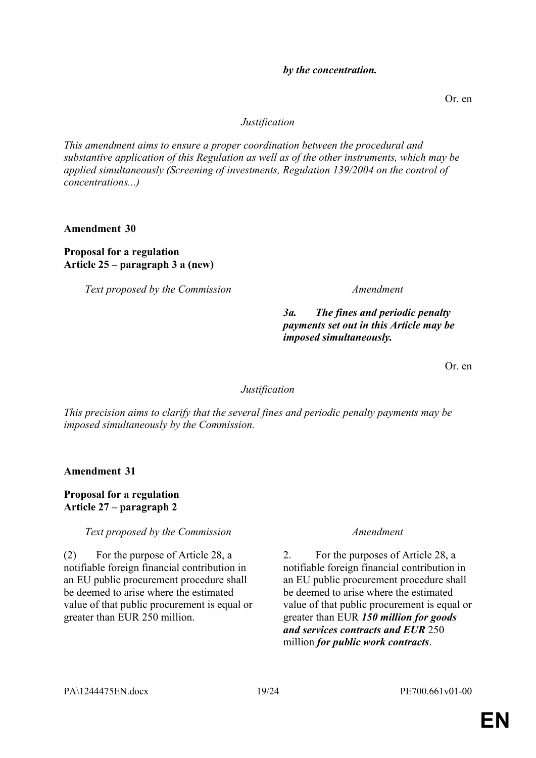*This amendment aims to ensure a proper coordination between the procedural and substantive application of this Regulation as well as of the other instruments, which may be applied simultaneously (Screening of investments, Regulation 139/2004 on the control of concentrations...)*

**Amendment 30**

**Proposal for a regulation Article 25 – paragraph 3 a (new)**

*Text proposed by the Commission Amendment*

*3a. The fines and periodic penalty payments set out in this Article may be* 

*imposed simultaneously.*

2. For the purposes of Article 28, a notifiable foreign financial contribution in an EU public procurement procedure shall be deemed to arise where the estimated value of that public procurement is equal or greater than EUR *150 million for goods and services contracts and EUR* 250 million *for public work contracts*.

# *Justification*

*This precision aims to clarify that the several fines and periodic penalty payments may be imposed simultaneously by the Commission.*

**Amendment 31**

**Proposal for a regulation Article 27 – paragraph 2**

*Text proposed by the Commission Amendment*

(2) For the purpose of Article 28, a notifiable foreign financial contribution in an EU public procurement procedure shall be deemed to arise where the estimated value of that public procurement is equal or greater than EUR 250 million.

#### PA\1244475EN.docx 19/24 PE700.661v01-00

# Or. en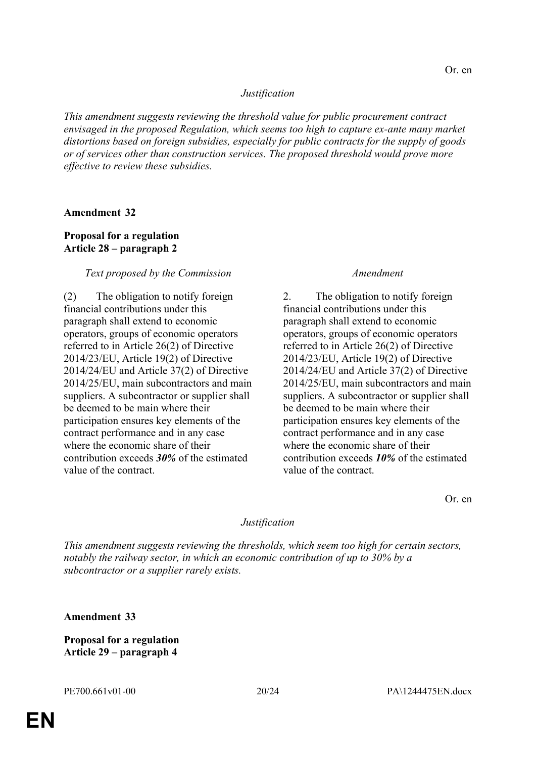*This amendment suggests reviewing the threshold value for public procurement contract envisaged in the proposed Regulation, which seems too high to capture ex-ante many market distortions based on foreign subsidies, especially for public contracts for the supply of goods or of services other than construction services. The proposed threshold would prove more effective to review these subsidies.*

### **Amendment 32**

### **Proposal for a regulation Article 28 – paragraph 2**

### *Text proposed by the Commission Amendment*

(2) The obligation to notify foreign financial contributions under this paragraph shall extend to economic operators, groups of economic operators referred to in Article 26(2) of Directive 2014/23/EU, Article 19(2) of Directive 2014/24/EU and Article 37(2) of Directive 2014/25/EU, main subcontractors and main suppliers. A subcontractor or supplier shall be deemed to be main where their participation ensures key elements of the contract performance and in any case where the economic share of their contribution exceeds *30%* of the estimated value of the contract.

2. The obligation to notify foreign financial contributions under this paragraph shall extend to economic operators, groups of economic operators referred to in Article 26(2) of Directive 2014/23/EU, Article 19(2) of Directive 2014/24/EU and Article 37(2) of Directive 2014/25/EU, main subcontractors and main suppliers. A subcontractor or supplier shall be deemed to be main where their participation ensures key elements of the contract performance and in any case where the economic share of their contribution exceeds *10%* of the estimated value of the contract.

Or. en

# *Justification*

*This amendment suggests reviewing the thresholds, which seem too high for certain sectors, notably the railway sector, in which an economic contribution of up to 30% by a subcontractor or a supplier rarely exists.*

**Amendment 33**

**Proposal for a regulation Article 29 – paragraph 4**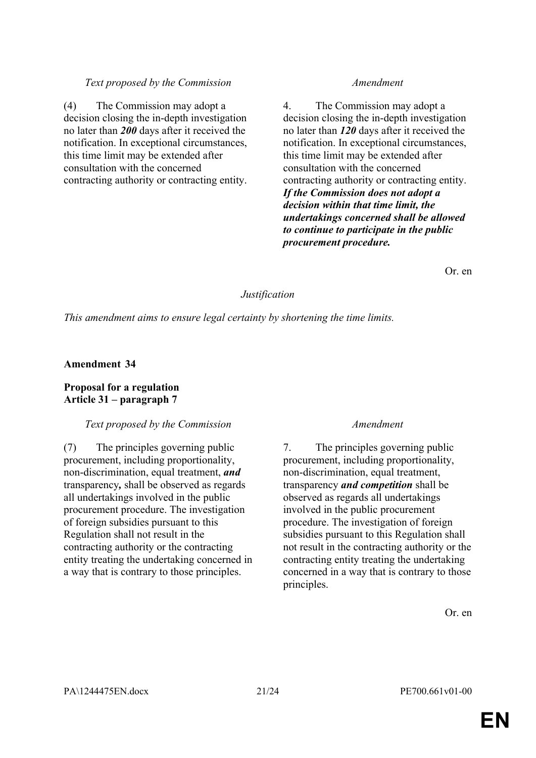# *Text proposed by the Commission Amendment*

(4) The Commission may adopt a decision closing the in-depth investigation no later than *200* days after it received the notification. In exceptional circumstances, this time limit may be extended after consultation with the concerned contracting authority or contracting entity.

4. The Commission may adopt a decision closing the in-depth investigation no later than *120* days after it received the notification. In exceptional circumstances, this time limit may be extended after consultation with the concerned contracting authority or contracting entity. *If the Commission does not adopt a decision within that time limit, the undertakings concerned shall be allowed to continue to participate in the public procurement procedure.*

Or. en

# *Justification*

*This amendment aims to ensure legal certainty by shortening the time limits.*

# **Amendment 34**

# **Proposal for a regulation Article 31 – paragraph 7**

### *Text proposed by the Commission Amendment*

(7) The principles governing public procurement, including proportionality, non-discrimination, equal treatment, *and* transparency*,* shall be observed as regards all undertakings involved in the public procurement procedure. The investigation of foreign subsidies pursuant to this Regulation shall not result in the contracting authority or the contracting entity treating the undertaking concerned in a way that is contrary to those principles.

7. The principles governing public procurement, including proportionality, non-discrimination, equal treatment, transparency *and competition* shall be observed as regards all undertakings involved in the public procurement procedure. The investigation of foreign subsidies pursuant to this Regulation shall not result in the contracting authority or the contracting entity treating the undertaking concerned in a way that is contrary to those principles.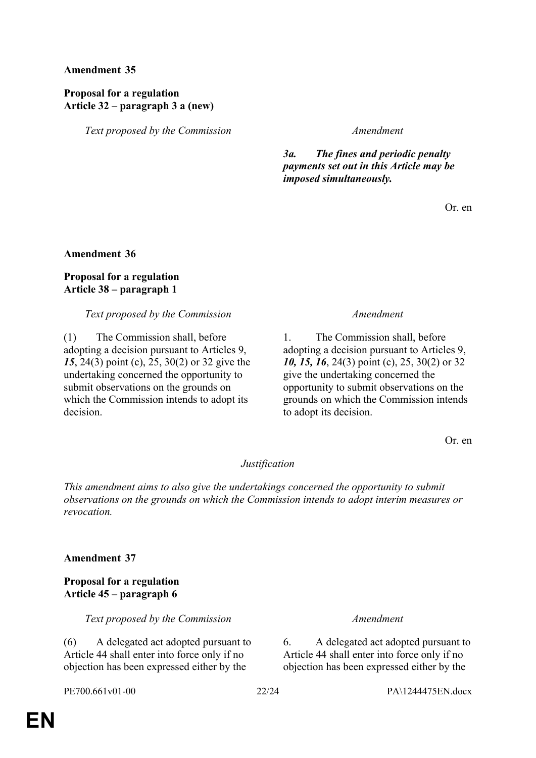**Amendment 35**

# **Proposal for a regulation Article 32 – paragraph 3 a (new)**

*Text proposed by the Commission Amendment*

*3a. The fines and periodic penalty payments set out in this Article may be imposed simultaneously.*

Or. en

# **Amendment 36**

# **Proposal for a regulation Article 38 – paragraph 1**

### *Text proposed by the Commission Amendment*

(1) The Commission shall, before adopting a decision pursuant to Articles 9, *15*, 24(3) point (c), 25, 30(2) or 32 give the undertaking concerned the opportunity to submit observations on the grounds on which the Commission intends to adopt its decision.

1. The Commission shall, before adopting a decision pursuant to Articles 9, *10, 15, 16*, 24(3) point (c), 25, 30(2) or 32 give the undertaking concerned the opportunity to submit observations on the grounds on which the Commission intends to adopt its decision.

Or. en

# *Justification*

*This amendment aims to also give the undertakings concerned the opportunity to submit observations on the grounds on which the Commission intends to adopt interim measures or revocation.*

# **Amendment 37**

# **Proposal for a regulation Article 45 – paragraph 6**

*Text proposed by the Commission Amendment*

(6) A delegated act adopted pursuant to Article 44 shall enter into force only if no objection has been expressed either by the

6. A delegated act adopted pursuant to Article 44 shall enter into force only if no objection has been expressed either by the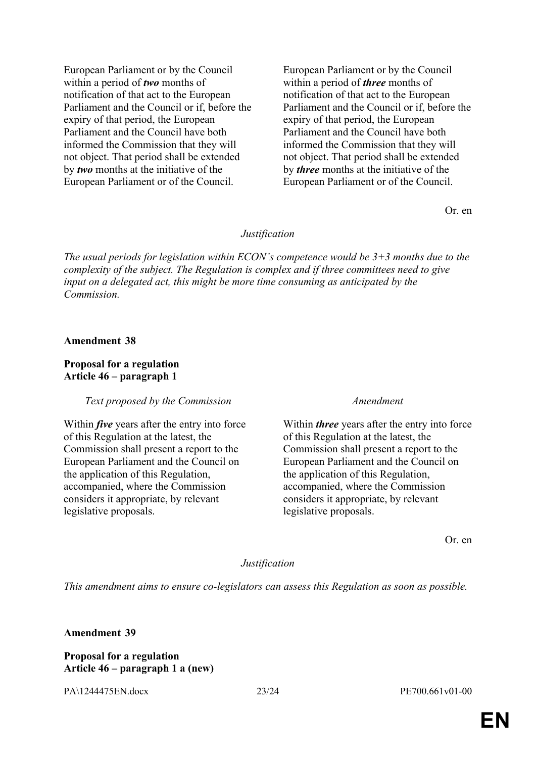European Parliament or by the Council within a period of *two* months of notification of that act to the European Parliament and the Council or if, before the expiry of that period, the European Parliament and the Council have both informed the Commission that they will not object. That period shall be extended by *two* months at the initiative of the European Parliament or of the Council.

European Parliament or by the Council within a period of *three* months of notification of that act to the European Parliament and the Council or if, before the expiry of that period, the European Parliament and the Council have both informed the Commission that they will not object. That period shall be extended by *three* months at the initiative of the European Parliament or of the Council.

Or. en

#### *Justification*

*The usual periods for legislation within ECON's competence would be 3+3 months due to the complexity of the subject. The Regulation is complex and if three committees need to give input on a delegated act, this might be more time consuming as anticipated by the Commission.*

#### **Amendment 38**

#### **Proposal for a regulation Article 46 – paragraph 1**

#### *Text proposed by the Commission Amendment*

Within *five* years after the entry into force of this Regulation at the latest, the Commission shall present a report to the European Parliament and the Council on the application of this Regulation, accompanied, where the Commission considers it appropriate, by relevant legislative proposals.

Within *three* years after the entry into force of this Regulation at the latest, the Commission shall present a report to the European Parliament and the Council on the application of this Regulation, accompanied, where the Commission considers it appropriate, by relevant legislative proposals.

Or. en

#### *Justification*

*This amendment aims to ensure co-legislators can assess this Regulation as soon as possible.*

**Amendment 39**

### **Proposal for a regulation Article 46 – paragraph 1 a (new)**

PA\1244475EN.docx 23/24 PE700.661v01-00